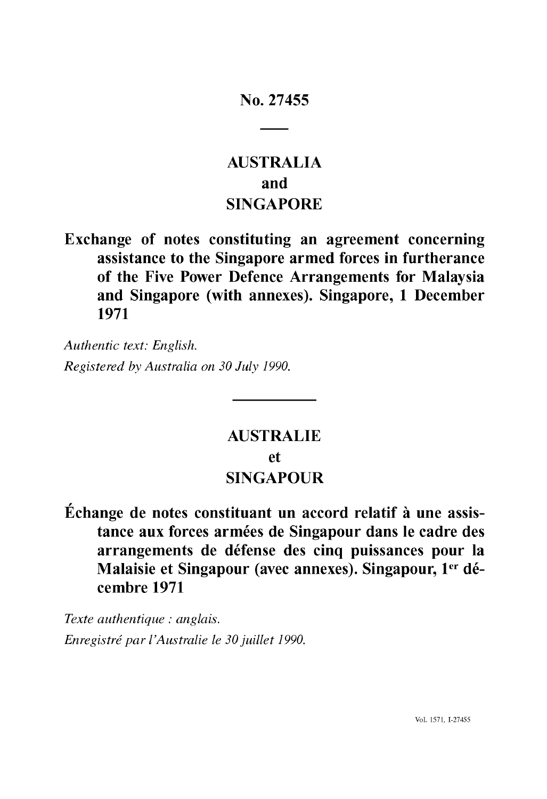## No. 27455

# **AUSTRALIA** and **SINGAPORE**

Exchange of notes constituting an agreement concerning assistance to the Singapore armed forces in furtherance of the Five Power Defence Arrangements for Malaysia and Singapore (with annexes). Singapore, 1 December 1971

*Authentic text: English. Registered by Australia on 30 July 1990.*

# **AUSTRALIE** et **SINGAPOUR**

Échange de notes constituant un accord relatif à une assis tance aux forces armées de Singapour dans le cadre des arrangements de défense des cinq puissances pour la Malaisie et Singapour (avec annexes). Singapour, 1<sup>er</sup> décembre 1971

*Texte authentique : anglais. Enregistré par l'Australie le 30 juillet 1990.*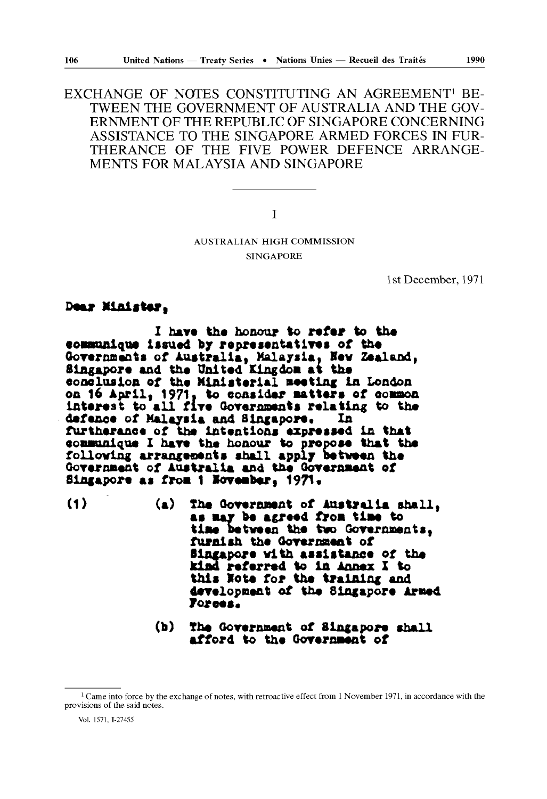EXCHANGE OF NOTES CONSTITUTING AN AGREEMENT1 BE TWEEN THE GOVERNMENT OF AUSTRALIA AND THE GOV ERNMENT OF THE REPUBLIC OF SINGAPORE CONCERNING ASSISTANCE TO THE SINGAPORE ARMED FORCES IN FUR THERANCE OF THE FIVE POWER DEFENCE ARRANGE MENTS FOR MALAYSIA AND SINGAPORE

I

## AUSTRALIAN **HIGH** COMMISSION **SINGAPORE**

1st December, 1971

Dear **Minister,**

**I hare the honour to refer to the ooBBunique issued by representatives of the**  Governments of Australia, Malaysia, New Zealand, **Singapore and the United Kingdom at the oooolua ion of the Ministerial aeetlnc in London**  on 16 April, 1971, to consider matters of common Interest to all five Governments relating to the defence of Malaysia and Singapore. In furtherance of the intentions expressed in that communique I have the honour to propose that the following arrangements shall apply between the Government of Australia and the Government of Singapore as from 1 November, 1971.

- **(1) (a) The Governnent of Australia shall,**  as may be agreed from time to **tiae between the two Gorernnents, furnish the Qorernaent of Bingapore with assistance of the kind referred to in Annex X to this Vote for the training and derelopnent of the Singapore Armed 7orees«**
	- **(b) The OoYernaent of Singapore shall afford to the Oorernaent of**

 $1$  Came into force by the exchange of notes, with retroactive effect from 1 November 1971, in accordance with the provisions of the said notes.

Vol. 1571, 1-27455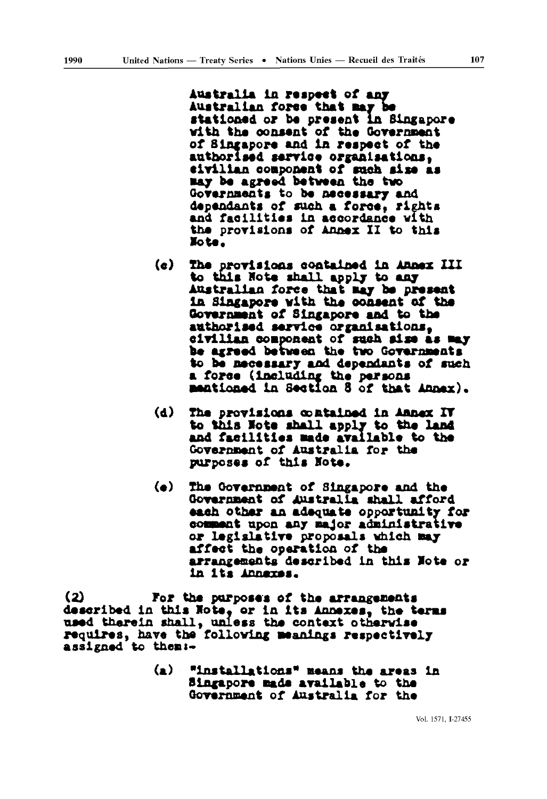**Australia in respect of any** Australian force that may be stationed or be present in Singapore with the consent of the Government of Singapore and ia respect of the authorised service organisations, civilian component of such size as Bay be agreed between tha two Governments to be necessary and dependants of such a fores, rights and faeilitiss in accordance with ths provisions of Annex II to this oU.

- (c) The provisions contained in Annex III to this Note shall apply to any Australian force that may be present in Singapore vith the consent of the Government of Singapore and to the authorised service organisations, civilian component of such aise as Bay be agreed between the two Governments to be necessary and dependants of such a force (including the persons mentioned in Section 8 of that Annex).
- (d) The provisions contained in Annex IT to this Note shall apply to the land and facilities made available to the Government of Australia for the purposes of this Note.
- (e) The Oovernnent of Singapore and the Government of Australia shall afford each other an adequate opportunity for comment upon any major administrative or legislative proposals which Bay affect the operation of the arrangements described in this Vote or in its Annexes.

(2) For the purposes of the arrangements described in this Note, or in its Annexes, the terms used therein shall, unless the context otherwise requires, have the following meanings respectively assigned to theai-

> (a) "installations" means the areas in Singapore Bade available to tha Government of Australia for the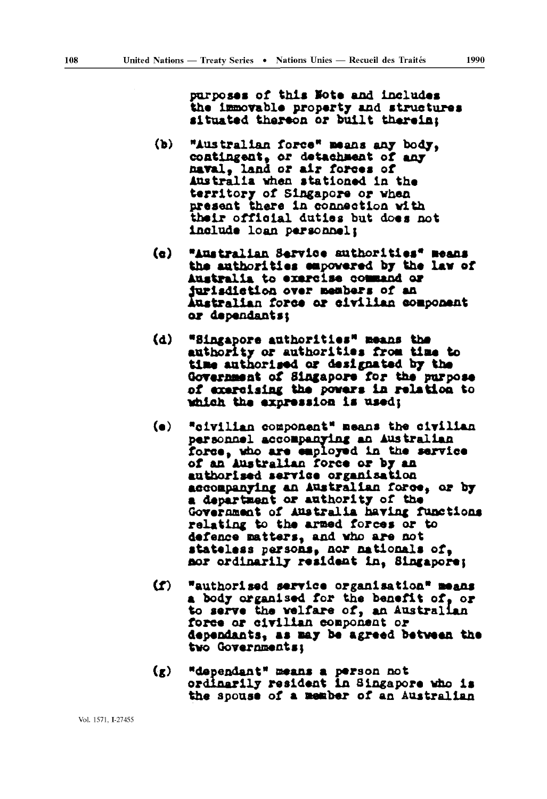purposes of this Note and includes the immovable property and structures situated thereon or built therein;

- (b) "Australian force" means any body, contingent, or detachment of any naval, land or air forces of Australia when stationed in the territory of Singapore or vhen present there in connaction with thair official duties but does not include loan personnels
- (c) "Australian Service authorities\* Beans the authorities empowered by the lav of Australia to exercise command or Jurisdiction over members of an Australian force or civilian component or dependants:
- (d) "Singapore authoritlas" means the authority or authorities fro» time to time authorised or designated by the Government of Singapore for the purpose of exercising the powers in relation to which the expression is used;
- (e) "civilian component" Beans the civilian personnel accompanying an Australian force, «ho are employed in the service of an Australian force or by an authorised service organisation accompanying an Australian force, or by a department or authority of the Government of Australia having functions relating to the armed forces or to defence matters, and who are not stateless persons, nor nationals of, nor ordinarily resident in, Singapore;
- CD "authorised service organisation" means a body organised for the benefit of. or to serve the welfare of, an Australian force or civilian component or dependants, as may be agreed between the two Governments:
- (g) "dependant\* means a person not ordinarily resident in Singapore who is the apouse of a member of an Australian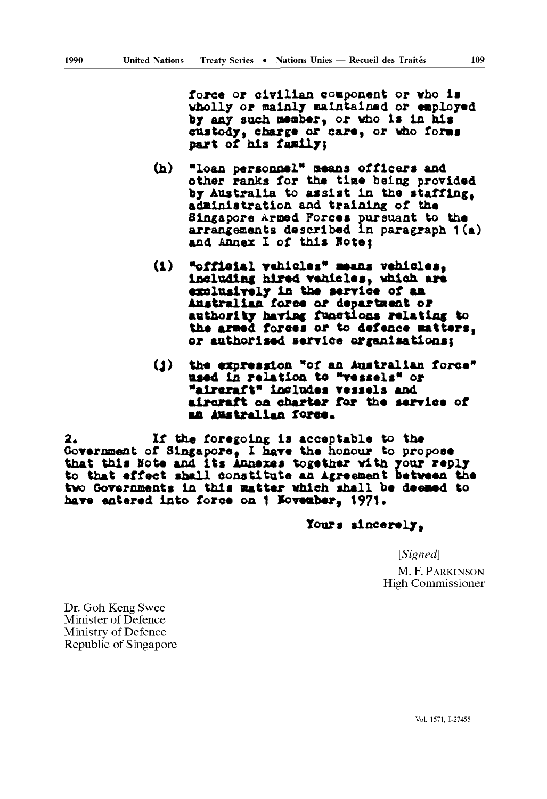force or civilian component or vho is wholly or mainly maintained or employed by any such neaber, or vho is In his custody, charge or care, or vho forms part of his family:

- (h) "loan personnel" means officers and other ranks for the time being provided by Australia to assist in the staffing, administration and training of the Singapore Arned Forces pursuant to the arrangements described in paragraph 1(a) and Annex I of this Hote;
- (1) «official vehicles» means vehicles, Including hired vehicles, vhieh are exalusively in the service of an Australian force or department or authority having functions relating to the armed forces or to defence matters, or authorised service organisations;
- (J) the expression "of an Australian force" used in relation to "vessels" or "aircraft\* Includes vessels and aircraft oa charter for the service of an Australian force.

2. If the foregoing is acceptable to the Government of Singapore, I have the honour to propose that this Note and its Annexes together with your reply to that effect shall constitute an Agreement betveen the tvo Governoents in this matter which shall be deemed to have entered into force on 1 Movember, 1971.

Tours sincerely,

*[Signed]*

**M. F. PARKINSON** High Commissioner

Dr. Goh Keng Swee Minister of Defence Ministry of Defence Republic of Singapore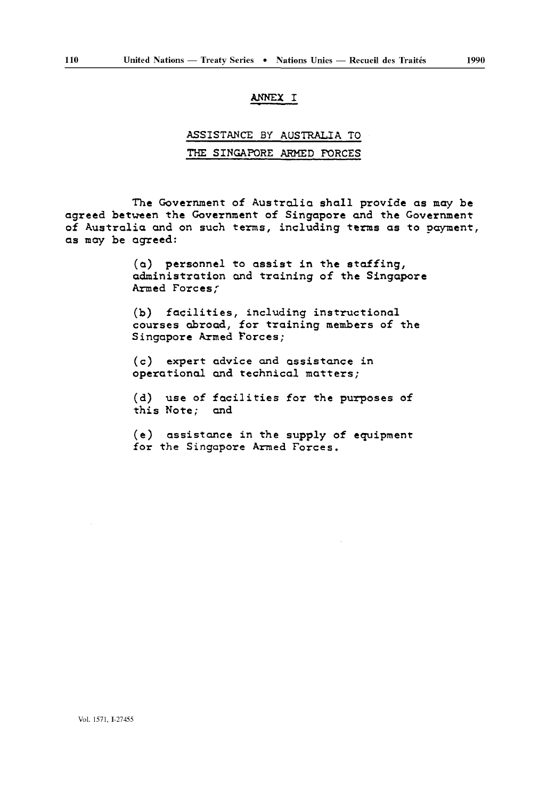## ANNEX I

## ASSISTANCE By AUSTRALIA TO THE SINGAPORE ARMED FORCES

The Government of Australia shall provide as may be agreed between the Government of Singapore and the Government of Australia and on such terms, including terms as to payment, as may be agreed:

> (a) personnel to assist in the staffing, administration and training of the Singapore Armed Forces;

(b) facilities, including instructional courses abroad, for training members of the Singapore Armed forces;

(c) expert advice and assistance in operational and technical matters;

(d) use of facilities for the purposes of this Note; and

(e) assistance in the supply of equipment for the Singapore Armed Forces.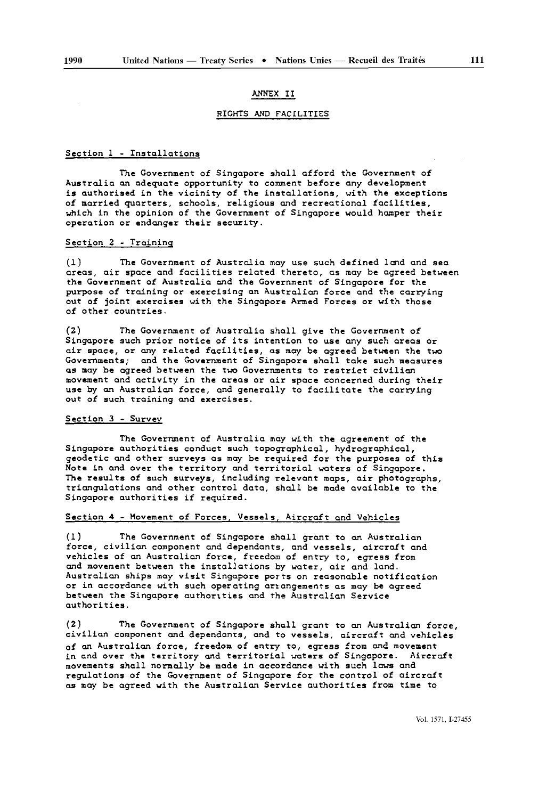#### ANNEX II

#### RIGHTS AND FACILITIES

#### Section 1 - Installations

The Government of Singapore shall afford the Government of Australia an adequate opportunity to comment before any development is authorised in the vicinity of the installations, with the exceptions of married quarters, schools, religious and recreational facilities, which in the opinion of the Government of Singapore would hamper their operation or endanger their security.

#### Section 2 - Training

(1) The Government of Australia may use such defined land and sea areas, air space and facilities related thereto, as may be agreed between the Government of Australia and the Government of Singapore for the purpose of training or exercising an Australian force and the carrying out of joint exercises with the Singapore Armed Forces or with those of other countries.

(2) The Government of Australia shall give the Government of Singapore such prior notice of its intention to use any such areas or air space, or any related facilities, as may be agreed between the two Governments; and the Government of Singapore shall take such measures as may be agreed between the two Governments to restrict civilian movement and activity in the areas or air space concerned during their use by an Australian force, and generally to facilitate the carrying out of such training and exercises.

#### Section 3 - Survey

The Government of Australia may with the agreement of the Singapore authorities conduct such topographical, hydrographical, geodetic and other surveys as may be required for the purposes of this Note in and over the territory and territorial waters of Singapore. The results of such surveys, including relevant maps, air photographs, triangulations and other control data, shall be made available to the Singapore authorities if required.

#### Section 4 - Movement of Forces, Vessels, Aircraft and Vehicles

(1) The Government of Singapore shall grant to an Australian force, civilian component and dependants, and vessels, aircraft and vehicles of an Australian force, freedom of entry to, egress from and movement between the installations by water, air and land. Australian ships may visit Singapore ports on reasonable notification or in accordance with such operating arrangements as may be agreed between the Singapore authorities and the Australian Service authorities.

(2) The Government of Singapore shall grant to an Australian force, civilian component and dependants, and to vessels, aircraft and vehicles of an Australian force, freedom of entry to, egress from and movement in and over the territory and territorial waters of Singapore. Aircraft movements shall normally be made in accordance with such laws and regulations of the Government of Singapore for the control of aircraft as may be agreed with the Australian Service authorities from time to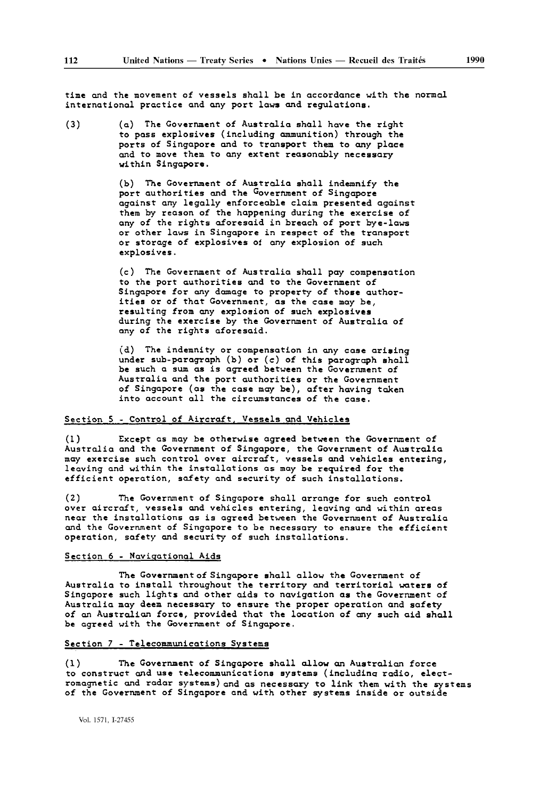time and the movement of vessels shall be in accordance with the normal international practice and any port laws and regulations.

(3) (a) The Government of Australia shall have the right to pass explosives (including ammunition) through the ports of Singapore and to transport them to any place and to move them to any extent reasonably necessary within Singapore.

> (b) The Government of Australia shall indemnify the port authorities and the Government of Singapore against any legally enforceable claim presented against them by reason of the happening during the exercise of any of the rights aforesaid in breach of port bye-laws or other laws in Singapore in respect of the transport or storage of explosives of any explosion of such explosives.

> (c) The Government of Australia shall pay compensation to the port authorities and to the Government of Singapore for any damage to property of those authorities or of that Government, as the case may be, resulting from any explosion of such explosives during the exercise by the Government of Australia of any of the rights aforesaid.

> (d) The indemnity or compensation in any case arising under sub-paragraph (b) or (c) of this paragraph shall be such a sum as is agreed between the Government of Australia and the port authorities or the Government of Singapore (as the case may be), after having taken into account all the circumstances of the case.

#### Section 5 - Control of Aircraft, Vessels and Vehicles

(1) Except as may be otherwise agreed between the Government of Australia and the Government of Singapore, the Government of Australia may exercise such control over aircraft, vessels and vehicles entering, leaving and within the installations as may be required for the efficient operation, safety and security of such installations.

(2) The Government of Singapore shall arrange for such control over aircraft, vessels and vehicles entering, leaving and within areas near the installations as is agreed between the Government of Australia and the Government of Singapore to be necessary to ensure the efficient operation, safety and security of such installations.

#### Section 6 - navigational Aids

The Government of Singapore shall allow the Government of Australia to install throughout the territory and territorial waters of Singapore such lights and other aids to navigation as the Government of Australia may deem necessary to ensure the proper operation and safety of an Australian force, provided that the location of any such aid shall be agreed with the Government of Singapore.

### Section 7 - Telecommunications Systems

(1) The Government of Singapore shall allow an Australian force to construct and use telecommunications systems (including radio, elect romagnetic and radar systems) and as necessary to link them with the systems of the Government of Singapore and with other systems inside or outside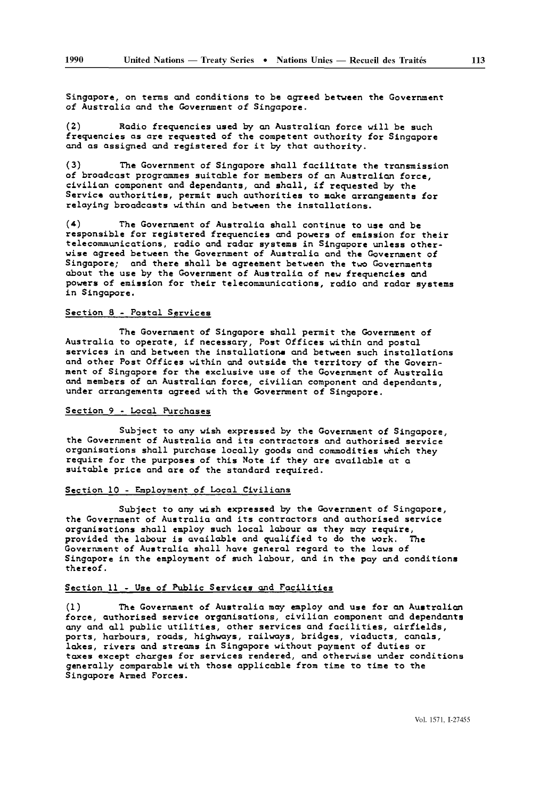Singapore, on terms and conditions to be agreed between the Government of Australia and the Government of Singapore.

(2) Radio frequencies used by an Australian force will be such frequencies as are requested of the competent authority for Singapore and as assigned and registered for it by that authority.

(3) The Government of Singapore shall facilitate the transmission of broadcast programmes suitable for members of an Australian force, civilian component and dependants, and shall, if requested by the Service authorities, permit such authorities to make arrangements for relaying broadcasts within and between the installations.

(\*) The Government of Australia shall continue to use and be responsible for registered frequencies and powers of emission for their telecommunications, radio and radar systems in Singapore unless other wise agreed between the Government of Australia and the Government of Singapore; and there shall be agreement between the two Governments about the use by the Government of Australia of new frequencies and powers of emission for their telecommunications, radio and radar systems in Singapore.

#### Section 8 - Postal Services

The Government of Singapore shall permit the Government of Australia to operate, if necessary, Post Offices within and postal services in and between the installations and between such installations and other Post Offices within and outside the territory of the Govern ment of Singapore for the exclusive use of the Government of Australia and members of an Australian force, civilian component and dependants, under arrangements agreed with the Government of Singapore.

#### Section 9 - Local Purchases

Subject to any wish expressed by the Government of Singapore, the Government of Australia and its contractors and authorised service organisations shall purchase locally goods and commodities which they require for the purposes of this Note if they are available at a suitable price and are of the standard required.

#### Section 10 - Employment of Local Civilians

Subject to any wish expressed by the Government of Singapore, the Government of Australia and its contractors and authorised service organisations shall employ such local labour as they may require, provided the labour is available and qualified to do the work. The Government of Australia shall have general regard to the laws of Singapore in the employment of such labour, and in the pay and conditions thereof.

#### Section 11 - Use of Public Services and Facilities

(1) The Government of Australia may employ and use for an Australian force, authorised service organisations, civilian component and dependants any and all public utilities, other services and facilities, airfields, ports, harbours, roads, highways, railways, bridges, viaducts, canals, lakes, rivers and streams in Singapore without payment of duties or taxes except charges for services rendered, and otherwise under conditions generally comparable with those applicable from time to time to the Singapore Armed Forces.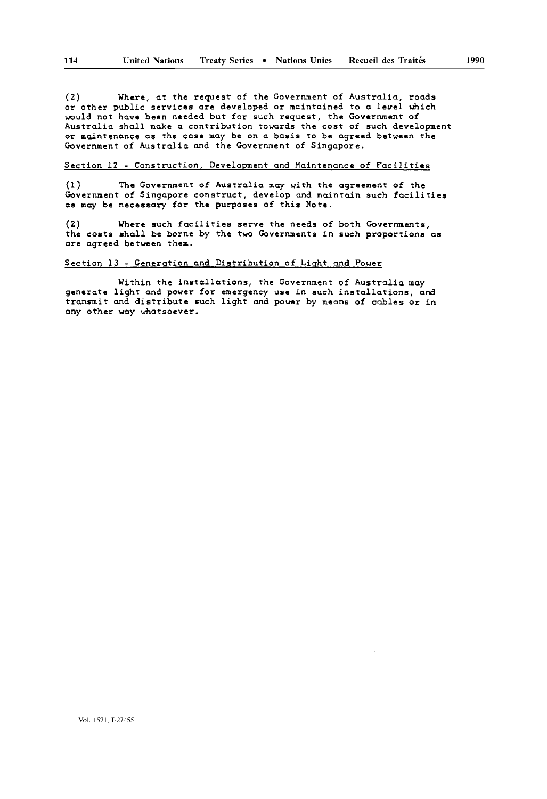(2) Where, at the request of the Government of Australia, roads or other public services are developed or maintained to a level which would not have been needed but for such request, the Government of Australia shall make a contribution towards the cost of such development or maintenance as the case may be on a basis to be agreed between the Government of Australia and the Government of Singapore.

#### Section 12 - Construction, Development and Maintenance of Facilities

(1) The Government of Australia may with the agreement of the Government of Singapore construct, develop and maintain such facilities as may be necessary for the purposes of this Note.

(2) Where such facilities serve the needs of both Governments, the costs shall be borne by the two Governments in such proportions as are agreed between them.

#### Section 13 - Generation and Distribution of Light and Power

Within the installations, the Government of Australia may generate light and power for emergency use in such installations, and transmit and distribute such light and power by means of cables or in any other way whatsoever.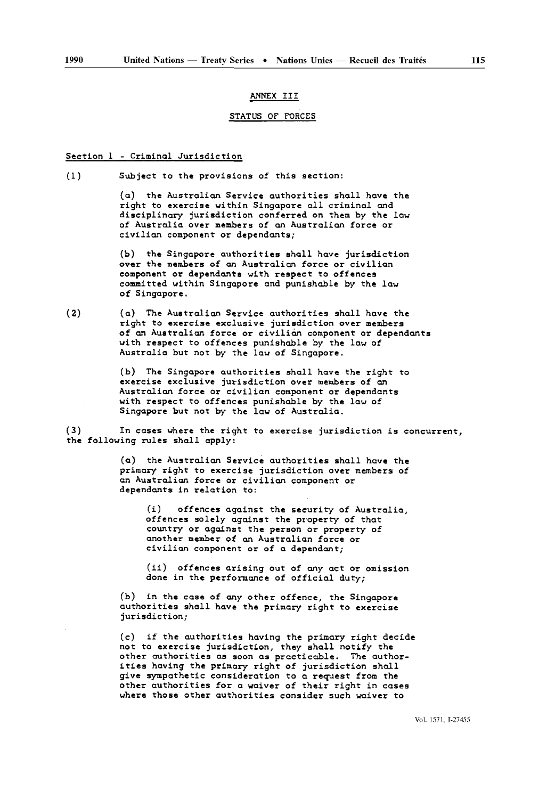#### ANNEX III

#### STATUS OF FORCES

#### Section 1 - Criminal Jurisdiction

(1) Subject to the provisions of this section:

(a) the Australian Service authorities shall have the right to exercise within Singapore all criminal and disciplinary jurisdiction conferred on them by the law of Australia over members of an Australian force or civilian component or dependants;

(b) the Singapore authorities shall have jurisdiction over the members of an Australian force or civilian component or dependants with respect to offences committed within Singapore and punishable by the law of Singapore.

(2) (a) The Australian Service authorities shall have the right to exercise exclusive jurisdiction over members of an Australian force or civilian component or dependants with respect to offences punishable by the law of Australia but not by the law of Singapore.

> (b) The Singapore authorities shall have the right to exercise exclusive jurisdiction over members of an Australian force or civilian component or dependants with respect to offences punishable by the law of Singapore but not by the law of Australia.

(3) In cases where the right to exercise jurisdiction is concurrent, the following rules shall apply:

> (a) the Australian Service authorities shall have the primary right to exercise jurisdiction over members of an Australian force or civilian component or dependants in relation to:

(i) offences against the security of Australia, offences solely against the property of that country or against the person or property of another member of an Australian force or civilian component or of a dependant;

(ii) offences arising out of any act or omission done in the performance of official duty;

(b) in the case of any other offence, the Singapore authorities shall have the primary right to exercise jurisdiction;

(c) if the authorities having the primary right decide not to exercise jurisdiction, they shall notify the other authorities as soon as practicable. The author ities having the primary right of jurisdiction shall give sympathetic consideration to a request from the other authorities for a waiver of their right in cases where those other authorities consider such waiver to

Vol. 1571, 1-27455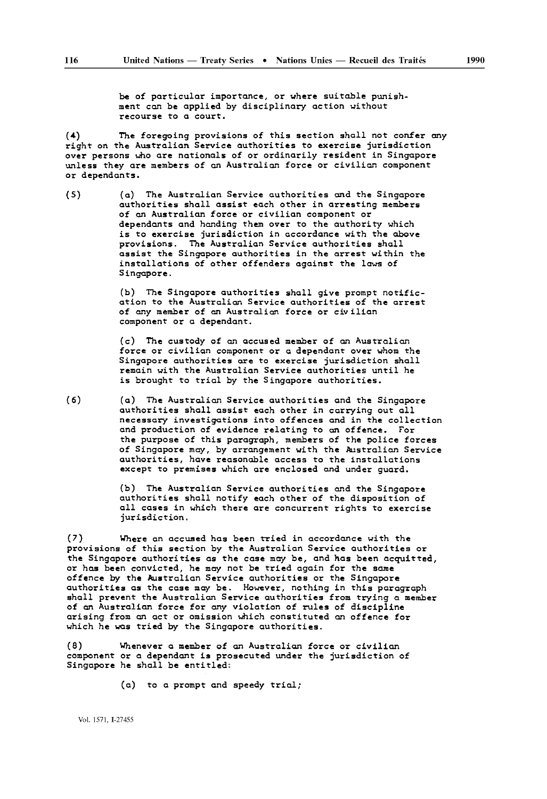be of particular importance, or where suitable punishment can be applied by disciplinary action without recourse to a court.

(4) The foregoing provisions of this section shall not confer any right on the Australian Service authorities to exercise jurisdiction over persons who are nationals of or ordinarily resident in Singapore unless they are members of an Australian force or civilian component or dependants.

(5) (a) The Australian Service authorities and the Singapore authorities shall assist each other in arresting members of an Australian force or civilian component or dependants and handing them over to the authority which is to exercise jurisdiction in accordance with the above provisions. The Australian Service authorities shall assist the Singapore authorities in the arrest within the installations of other offenders against the laws of Singapore.

> (b) The Singapore authorities shall give prompt notific ation to the Australian Service authorities of the arrest of any member of an Australian force or civilian component or a dependant.

(c) The custody of an accused member of an Australian force or civilian component or a dependant over whom the Singapore authorities are to exercise jurisdiction shall remain with the Australian Service authorities until he is brought to trial by the Singapore authorities.

(6) (a) The Australian Service authorities and the Singapore authorities shall assist each other in carrying out all necessary investigations into offences and in the collection and production of evidence relating to an offence. For the purpose of this paragraph, members of the police forces of Singapore may, by arrangement with the Australian Service authorities, have reasonable access to the installations except to premises which are enclosed and under guard.

> (b) The Australian Service authorities and the Singapore authorities shall notify each other of the disposition of all cases in which there are concurrent rights to exercise jurisdiction.

(7) Where an accused has been tried in accordance with the provisions of this section by the Australian Service authorities or the Singapore authorities as the case may be, and has been acquitted. or has been convicted, he may not be tried again for the same offence by the Australian Service authorities or the Singapore authorities as the case may be. However, nothing in this paragraph shall prevent the Australian Service authorities from trying a member of an Australian force for any violation of rules of discipline arising from an act or omission which constituted an offence for which he was tried by the Singapore authorities.

(8) Whenever a member of an Australian force or civilian component or a dependant is prosecuted under the jurisdiction of Singapore he shall be entitled:

(a) to a prompt and speedy trial;

Vol. 1571, 1-27455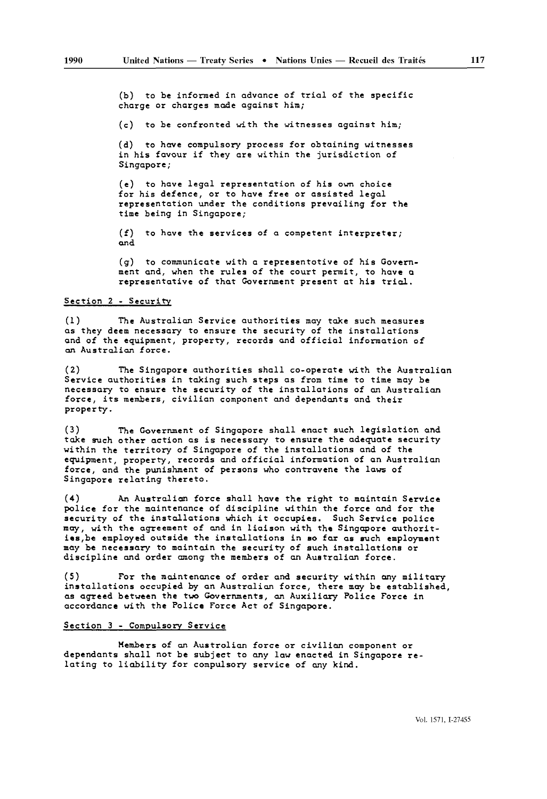(b) to be informed in advance of trial of the specific charge or charges made against him;

(c) to be confronted with the witnesses against him;

(d) to have compulsory process for obtaining witnesses in his favour if they are within the jurisdiction of Singapore;

(e) to have legal representation of his own choice for his defence, or to have free or assisted legal representation under the conditions prevailing for the time being in Singapore;

(f) to have the services of a competent interpreter; and

(g) to communicate with a representative of his Govern ment and, when the rules of the court permit, to have a representative of that Government present at his trial.

#### Section 2 - Security

(1) The Australian Service authorities may take such measures as they deem necessary to ensure the security of the installations and of the equipment, property, records and official information of an Australian force.

(2) The Singapore authorities shall co-operate with the Australian Service authorities in taking such steps as from time to time may be necessary to ensure the security of the installations of an Australian force, its members, civilian component and dependants and their property.

(3) The Government of Singapore shall enact such legislation and take such other action as is necessary to ensure the adequate security within the territory of Singapore of the installations and of the equipment, property, records and official information of an Australian force, and the punishment of persons who contravene the laws of Singapore relating thereto.

(4) An Australian force shall have the right to maintain Service police for the maintenance of discipline within the force and for the security of the installations which it occupies. Such Service police may, with the agreement of and in liaison with the Singapore authorit ies, be employed outside the installations in so far as such employment may be necessary to maintain the security of such installations or discipline and order among the members of an Australian force.

(5) For the maintenance of order and security within any military installations occupied by an Australian force, there may be established, as agreed between the two Governments, an Auxiliary Police Force in accordance with the Police Force Act of Singapore.

#### Section 3 - Compulsory Service

Members of an Australian force or civilian component or dependants shall not be subject to any law enacted in Singapore re lating to liability for compulsory service of any kind.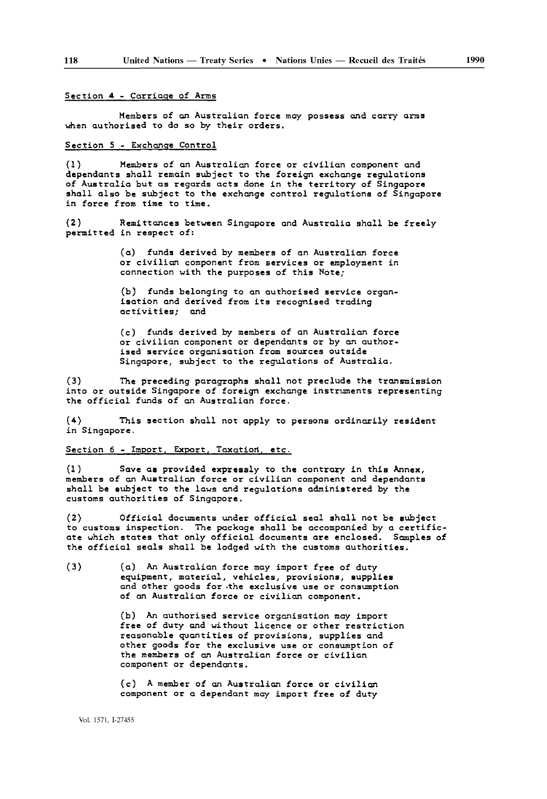#### Section 4 - Corriaqe of Arms

Members of an Australian force may possess and carry arms when authorised to do so by their orders.

#### Section 5 - Exchange Control

(1) Members of an Australian force or civilian component and dependants shall remain subject to the foreign exchange regulations of Australia but as regards acts done in the territory of Singapore shall also be subject to the exchange control regulations of Singapore in force from time to time.

(2) Remittances between Singapore and Australia shall be freely permitted in respect of:

> (a) funds derived by members of an Australian force or civilian component from services or employment in connection with the purposes of this Note;

> (b) funds belonging to an authorised service organ isation and derived from its recognised trading activities; and

> (c) funds derived by members of an Australian force or civilian component or dependants or by an author ised service organisation from sources outside Singapore, subject to the regulations of Australia.

The preceding paragraphs shall not preclude the transmission into or outside Singapore of foreign exchange instruments representing the official funds of an Australian force.

(4) This section shall not apply to persons ordinarily resident in Singapore.

#### Section 6 - Import, Export, Taxation, etc.

(1) Save as provided expressly to the contrary in this Annex, members of an Australian force or civilian component and dependants shall be subject to the laws and regulations administered by the customs authorities of Singapore.

(2) Official documents under official seal shall not be subject to customs inspection. The package shall be accompanied by a certific ate which states that only official documents are enclosed. Samples of the official seals shall be lodged with the customs authorities.

(3) (a) An Australian force may import free of duty equipment, material, vehicles, provisions, supplies and other goods for .the exclusive use or consumption of an Australian force or civilian component.

> (b) An authorised service organisation may import free of duty and without licence or other restriction reasonable quantities of provisions, supplies and other goods for the exclusive use or consumption of the members of an Australian force or civilian component or dependants.

(c) A member of an Australian force or civilian component or a dependant may import free of duty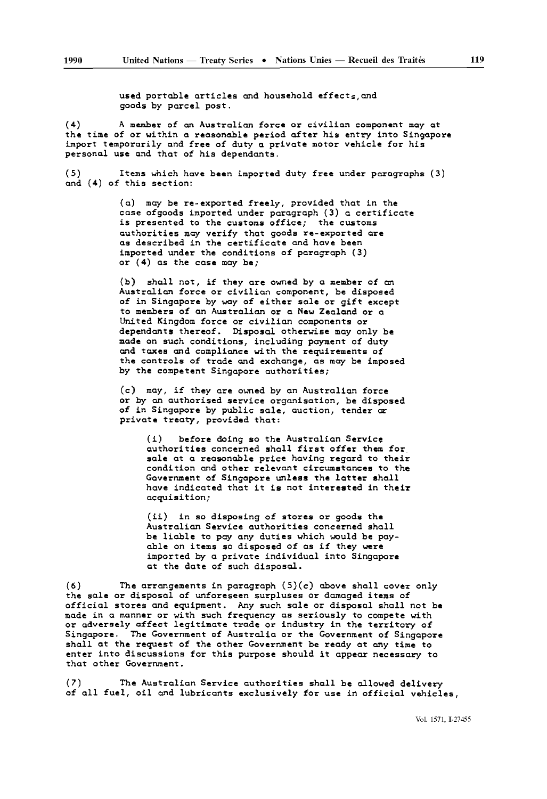used portable articles and household effects, and goods by parcel post.

(4) A member of an Australian force or civilian component may at the time of or within a reasonable period after his entry into Singapore import temporarily and free of duty a private motor vehicle for his personal use and that of his dependants.

(5) Items which have been imported duty free under paragraphs (3) and (4) of this section:

> (a) may be re-exported freely, provided that in the case ofgoods imported under paragraph (3) a certificate is presented to the customs office; the customs authorities may verify that goods re-exported are as described in the certificate and have been imported under the conditions of paragraph (3) or  $(4)$  as the case may be;

(b) shall not, if they are owned by a member of an Australian force or civilian component, be disposed of in Singapore by way of either sale or gift except to members of an Australian or a New Zealand or a United Kingdom force or civilian components or dependants thereof. Disposal otherwise may only be made on such conditions, including payment of duty and taxes and compliance with the requirements of the controls of trade and exchange, as may be imposed by the competent Singapore authorities;

(c) may, if they are owned by an Australian force or by an authorised service organisation, be disposed of in Singapore by public sale, auction, tender or private treaty, provided that:

(i) before doing so the Australian Service authorities concerned shall first offer them for sale at a reasonable price having regard to their condition and other relevant circumstances to the Government of Singapore unless the latter shall have indicated that it is not interested in their acquisition;

(ii) in so disposing of stores or goods the Australian Service authorities concerned shall be liable to pay any duties which would be pay able on items so disposed of as if they were imported by a private individual into Singapore at the date of such disposal.

 $(6)$  The arrangements in paragraph  $(5)(c)$  above shall cover only the sale or disposal of unforeseen surpluses or damaged items of official stores and equipment. Any such sale or disposal shall not be made in a manner or with such frequency as seriously to compete with or adversely affect legitimate trade or industry in the territory of Singapore. The Government of Australia or the Government of Singapore shall at the request of the other Government be ready at any time to enter into discussions for this purpose should it appear necessary to that other Government.

(7) The Australian Service authorities shall be allowed delivery of all fuel, oil and lubricants exclusively for use in official vehicles,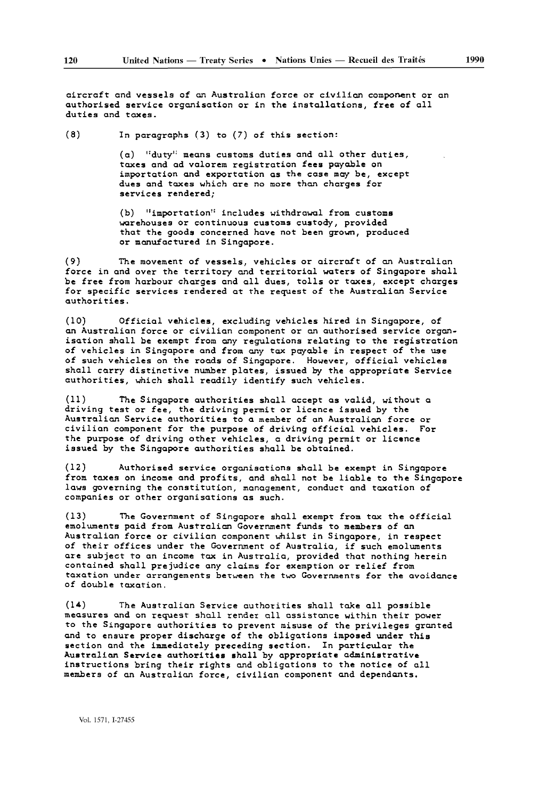aircraft and vessels of an Australian force or civilian component or an authorised service organisation or in the installations, free of all duties and taxes.

(8) In paragraphs (3) to (7) of this section:

(a) "duty" means customs duties and all other duties, taxes and ad valorem registration fees payable on importation and exportation as the case may be, except dues and taxes which are no more than charges for services rendered;

(b) "importation'' includes withdrawal from customs warehouses or continuous customs custody, provided that the goods concerned have not been grown, produced or manufactured in Singapore.

(9) The movement of vessels, vehicles or aircraft of an Australian force in and over the territory and territorial waters of Singapore shall be free from harbour charges and all dues, tolls or taxes, except charges for specific services rendered at the request of the Australian Service authorities.

(10) Official vehicles, excluding vehicles hired in Singapore, of an Australian force or civilian component or an authorised service organ isation shall be exempt from any regulations relating to the registration of vehicles in Singapore and from any tax payable in respect of the use of such vehicles on the roads of Singapore. However, official vehicles shall carry distinctive number plates, issued by the appropriate Service authorities, which shall readily identify such vehicles.

(11) The Singapore authorities shall accept as valid, without a driving test or fee, the driving permit or licence issued by the Australian Service authorities to a member of an Australian force or civilian component for the purpose of driving official vehicles. For the purpose of driving other vehicles, a driving permit or licence issued by the Singapore authorities shall be obtained.

(12) Authorised service organisations shall be exempt in Singapore from taxes on income and profits, and shall not be liable to the Singapore laws governing the constitution, management, conduct and taxation of companies or other organisations as such.

(13) The Government of Singapore shall exempt from tax the official emoluments paid from Australian Government funds to members of an Australian force or civilian component whilst in Singapore, in respect of their offices under the Government of Australia, if such emoluments are subject to an income tax in Australia, provided that nothing herein contained shall prejudice any claims for exemption or relief from taxation under arrangements between the two Governments for the avoidance of double taxation.

(14) The Australian Service authorities shall take all possible measures and on request shall render all assistance within their power to the Singapore authorities to prevent misuse of the privileges granted and to ensure proper discharge of the obligations imposed under this section and the immediately preceding section. In particular the Australian Service authorities shall by appropriate administrative instructions bring their rights and obligations to the notice of all members of an Australian force, civilian component and dependants.

Vol. 1571, 1-27455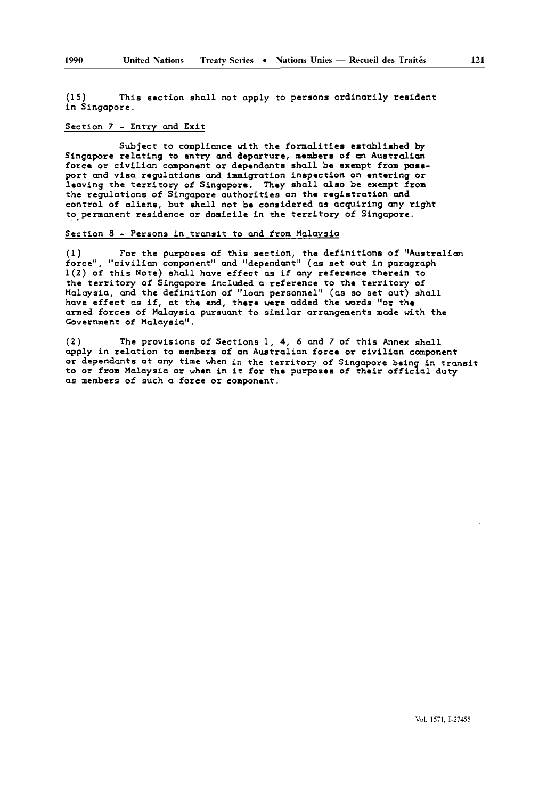(IS) This section shall not apply to persons ordinarily resident in Singapore.

#### Section 7 - Entry and Exit

Subject to compliance with the formalities established by Singapore relating to entry and departure, members of an Australian force or civilian component or dependants shall be exempt from pass port and visa regulations and immigration inspection on entering or leaving the territory of Singapore. They shall also be exempt from the regulations of Singapore authorities on the registration and control of aliens, but shall not be considered as acquiring any right to permanent residence or domicile in the territory of Singapore.

#### Section 8 - Persons in transit to and from Malaysia

(1) For the purposes of this section, the definitions of "Australian force", "civilian component" and "dependant" (as set out in paragraph 1(2) of this Note) shall have effect as if any reference therein to the territory of Singapore included a reference to the territory of Malaysia, and the definition of "loan personnel" (as so set out) shall have effect as if, at the end, there were added the words "or the armed forces of Malaysia pursuant to similar arrangements made with the Government of Malaysia".

(2) The provisions of Sections 1, 4, 6 and 7 of this Annex shall apply in relation to members of an Australian force or civilian component or dependants at any time when in the territory of Singapore being in transit to or from Malaysia or when in it for the purposes of their official duty as members of such a force or component.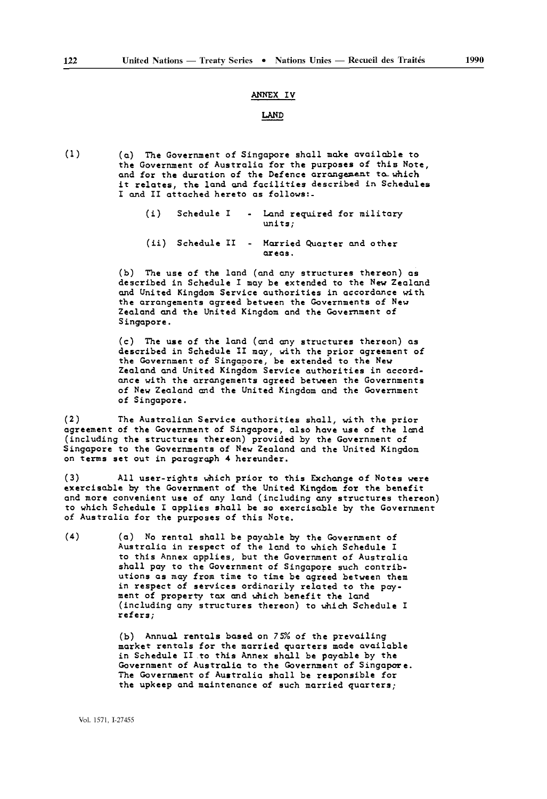#### ANNEX IV

#### LAND

(1) (a) The Government of Singapore shall make available to the Government of Australia for the purposes of this Note, and for the duration of the Defence arrangement to which it relates, the land and facilities described in Schedules I and II attached hereto as fallows:-

- (i) Schedule I Land required for military units;
- (ii) Schedule II Married Quarter and other areas.

(b) The use of the land (and any structures thereon) as described in Schedule I may be extended to the New Zealand and United Kingdom Service authorities in accordance with the arrangements agreed between the Governments of New Zealand and the United Kingdom and the Government of Singapore.

(c) The use of the land (and any structures thereon) as described in Schedule II may, with the prior agreement of the Government of Singapore, be extended to the New Zealand and United Kingdom Service authorities in accord ance with the arrangements agreed between the Governments of New Zealand and the United Kingdom and the Government of Singapore.

(2) The Australian Service authorities shall, with the prior agreement of the Government of Singapore, also have use of the land (including the structures thereon) provided by the Government of Singapore to the Governments of New Zealand and the United Kingdom on terms set out in paragraph 4 hereunder.

(3) All user-rights which prior to this Exchange of Notes were exercisable by the Government of the United Kingdom for the benefit and more convenient use of any land (including any structures thereon) to which Schedule I applies shall be so exercisable by the Government of Australia for the purposes of this Note.

(4) (a) No rental shall be payable by the Government of Australia in respect of the land to which Schedule I to this Annex applies, but the Government of Australia shall pay to the Government of Singapore such contrib utions as may from time to time be agreed between them in respect of services ordinarily related to the pay ment of property tax and which benefit the land (including any structures thereon) to which Schedule I refers;

> (b) Annual rentals based on 75% of the prevailing market rentals for the married quarters made available in Schedule II to this Annex shall be payable by the Government of Australia to the Government of Singapore. The Government of Australia shall be responsible for the upkeep and maintenance of such married quarters;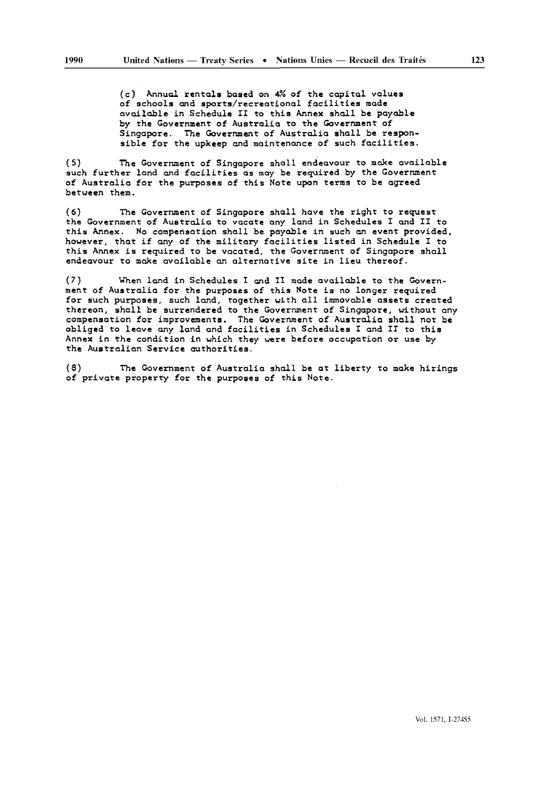(c) Annual rentals based on 4% of the capital values of schools and sports/recreational facilities made available in Schedule II to this Annex shall be payable by the Government of Australia to the Government of Singapore. The Government of Australia shall be respon sible for the upkeep and maintenance of such facilities.

(5) The Government of Singapore shall endeavour to make available such further land and facilities as may be required by the Government of Australia for the purposes of this Note upon terms to be agreed between them.

(6) The Government of Singapore shall hove the right to request the Government of Australia to vacate any land in Schedules I and II to this Annex. No compensation shall be payable in such an event provided, however, that if any of the military facilities listed in Schedule I to this Annex is required to be vacated, the Government of Singapore shall endeavour to make available an alternative site in lieu thereof.

(7) When land in Schedules I and II made available to the Govern ment of Australia for the purposes of this Note is no longer required for such purposes, such land, together with all immovable assets created thereon, shall be surrendered to the Government of Singapore, without any compensation for improvements. The Government of Australia shall not be obliged to leave any land and facilities in Schedules I and II to this Annex in the condition in which they were before occupation or use by the Australian Service authorities.

(8) The Government of Australia shall be at liberty to make hirings of private property for the purposes of this Note.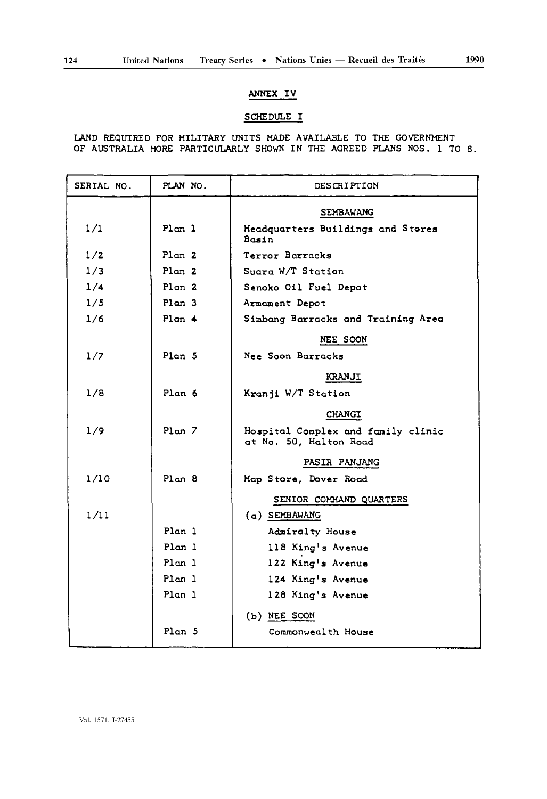## ANNEX IV

### SCHEDULE I

LAND REQUIRED FOR MILITARY UNITS MADE AVAILABLE TO THE GOVERNMENT OF AUSTRALIA MORE PARTICULARLY SHOWN IN THE AGREED PLANS NOS. 1 TO 8.

| SERIAL NO. | PLAN NO.          | DESCRIPTION                                                  |  |
|------------|-------------------|--------------------------------------------------------------|--|
|            |                   | <b>SEMBAWANG</b>                                             |  |
| 1/1        | Plon 1            | Headquarters Buildings and Stores<br>Basin                   |  |
| 1/2        | Plan <sub>2</sub> | Terror Borracks                                              |  |
| 1/3        | Plan <sub>2</sub> | Suara W/T Station                                            |  |
| 1/4        | Plan <sub>2</sub> | Senoko Oil Fuel Depot                                        |  |
| 1/5        | Plan 3            | Armament Depot                                               |  |
| 1/6        | Plan 4            | Simbang Barracks and Training Area                           |  |
|            |                   | NEE SOON                                                     |  |
| 1/7        | Plan <sub>5</sub> | Nee Soon Barracks                                            |  |
|            |                   | KRANJI                                                       |  |
| 1/8        | Plan 6            | Kranji W/T Station                                           |  |
|            |                   | CHANGI                                                       |  |
| 1/9        | Plan <sub>7</sub> | Hospital Complex and family clinic<br>at No. 50, Halton Road |  |
|            |                   | PASIR PANJANG                                                |  |
| 1/10       | Plan <sub>8</sub> | Map Store, Dover Road                                        |  |
|            |                   | SENIOR COMMAND QUARTERS                                      |  |
| 1/11       |                   | $(a)$ SEMBAWANG                                              |  |
|            | Plan <sub>1</sub> | Admiralty House                                              |  |
|            | Plan 1            | 118 King's Avenue                                            |  |
|            | Plan 1            | 122 King's Avenue                                            |  |
|            | Plan 1            | 124 King's Avenue                                            |  |
|            | Plan <sub>1</sub> | 128 King's Avenue                                            |  |
|            |                   | $(b)$ NEE SOON                                               |  |
|            | Plan <sub>5</sub> | Commonwealth House                                           |  |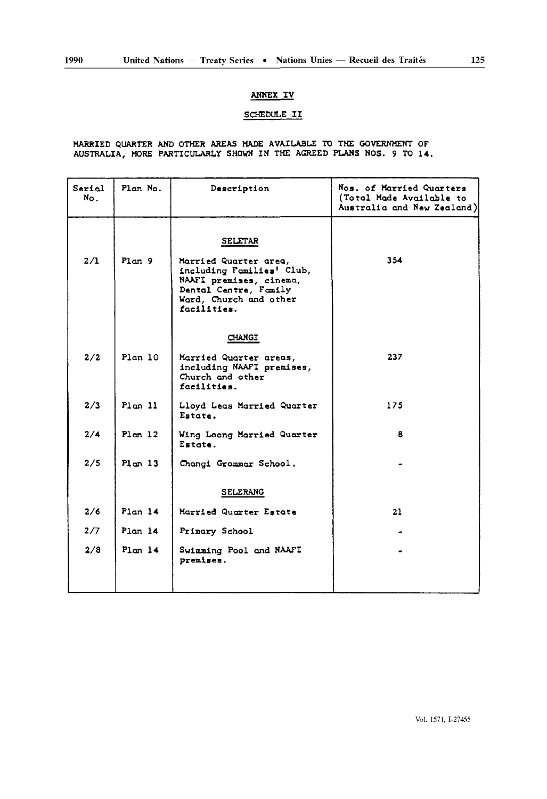## **ANNEX** IV

## SCHEDULE II

#### MARRIED QUARTER AND OTHER AREAS HADE AVAILABLE TO THE GOVERNMENT OF AUSTRALIA, MORE PARTICULARLY SHOWN IN THE AGREED PLANS NOS. 9 TO 14.

| Serial<br>No. | Plan No.            | Description                                                                                                                                                       | Nos. of Married Quarters<br>(Total Made Available to<br>Australia and New Zealand) |
|---------------|---------------------|-------------------------------------------------------------------------------------------------------------------------------------------------------------------|------------------------------------------------------------------------------------|
| 2/1           | Plan <sub>9</sub>   | <b>SELETAR</b><br>Married Quarter area,<br>including Families' Club,<br>NAAFI premises, cinema,<br>Dental Centre, Family<br>Ward, Church and other<br>facilities. | 354                                                                                |
| 2/2           | Plan <sub>10</sub>  | <b>CHANGI</b><br>Married Quarter areas,<br>including NAAFI premises,<br>Church and other<br>facilities.                                                           | 237                                                                                |
| 2/3           | Plan 11             | Lloyd Leas Married Quarter<br>Estate.                                                                                                                             | 175                                                                                |
| 2/4           | Plom 12             | Wing Loong Married Quarter<br>Estate.                                                                                                                             | 8                                                                                  |
| 2/5           | Pl <sub>on</sub> 13 | Changi Grammar School.                                                                                                                                            |                                                                                    |
|               |                     | <b>SELERANG</b>                                                                                                                                                   |                                                                                    |
| 2/6           | Plan <sub>14</sub>  | Married Quarter Estate                                                                                                                                            | 21                                                                                 |
| 2/7           | Plan <sub>14</sub>  | Primary School                                                                                                                                                    |                                                                                    |
| 2/8           | Plan <sub>14</sub>  | Swimming Pool and NAAFI<br>premises.                                                                                                                              |                                                                                    |